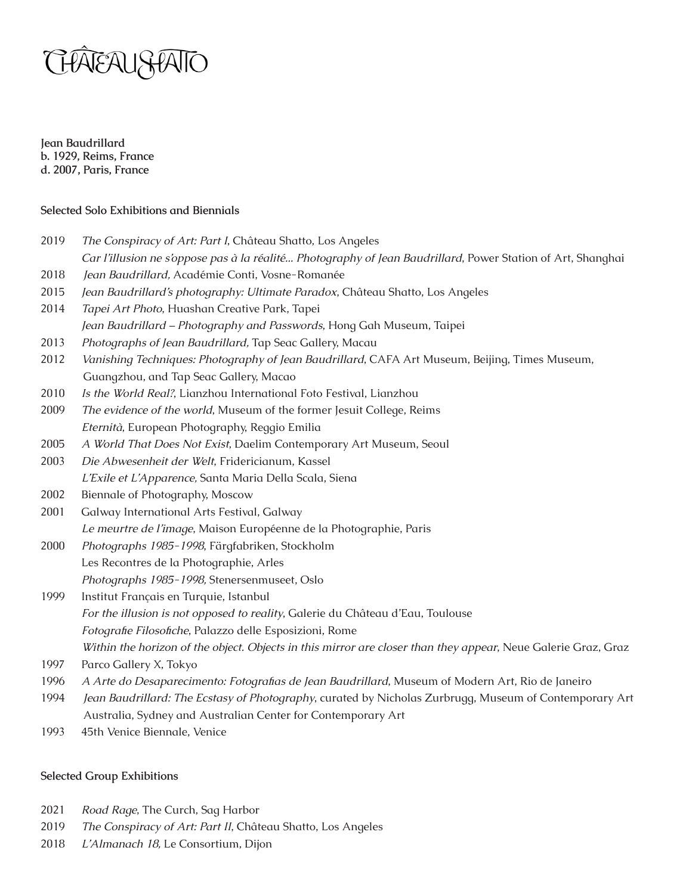

**Jean Baudrillard b. 1929, Reims, France d. 2007, Paris, France**

## **Selected Solo Exhibitions and Biennials**

- 2019 *The Conspiracy of Art: Part I*, Château Shatto, Los Angeles
- *Car l'illusion ne s'oppose pas à la réalité... Photography of Jean Baudrillard*, Power Station of Art, Shanghai
- 2018 *Jean Baudrillard,* Académie Conti, Vosne-Romanée
- 2015 *Jean Baudrillard's photography: Ultimate Paradox*, Château Shatto, Los Angeles
- 2014 *Tapei Art Photo*, Huashan Creative Park, Tapei *Jean Baudrillard – Photography and Passwords*, Hong Gah Museum, Taipei
- 2013 *Photographs of Jean Baudrillard,* Tap Seac Gallery, Macau
- 2012 *Vanishing Techniques: Photography of Jean Baudrillard*, CAFA Art Museum, Beijing, Times Museum, Guangzhou, and Tap Seac Gallery, Macao
- 2010 *Is the World Real?*, Lianzhou International Foto Festival, Lianzhou
- 2009 The evidence of the world, Museum of the former Jesuit College, Reims *Eternità*, European Photography, Reggio Emilia
- 2005 *A World That Does Not Exist*, Daelim Contemporary Art Museum, Seoul
- 2003 *Die Abwesenheit der Welt*, Fridericianum, Kassel *L'Exile et L'Apparence,* Santa Maria Della Scala, Siena
- 2002 Biennale of Photography, Moscow
- 2001 Galway International Arts Festival, Galway *Le meurtre de l'image*, Maison Européenne de la Photographie, Paris
- 2000 *Photographs 1985-1998*, Färgfabriken, Stockholm Les Recontres de la Photographie, Arles *Photographs 1985-1998,* Stenersenmuseet, Oslo
- 1999 Institut Français en Turquie, Istanbul *For the illusion is not opposed to reality*, Galerie du Château d'Eau, Toulouse *Fotografie Filosofiche*, Palazzo delle Esposizioni, Rome *Within the horizon of the object. Objects in this mirror are closer than they appear*, Neue Galerie Graz, Graz
- 1997 Parco Gallery X, Tokyo
- 1996 *A Arte do Desaparecimento: Fotografias de Jean Baudrillard*, Museum of Modern Art, Rio de Janeiro
- 1994 *Jean Baudrillard: The Ecstasy of Photography*, curated by Nicholas Zurbrugg, Museum of Contemporary Art Australia, Sydney and Australian Center for Contemporary Art
- 1993 45th Venice Biennale, Venice

## **Selected Group Exhibitions**

- 2021 *Road Rage*, The Curch, Sag Harbor
- 2019 *The Conspiracy of Art: Part II*, Château Shatto, Los Angeles
- 2018 *L'Almanach 18,* Le Consortium, Dijon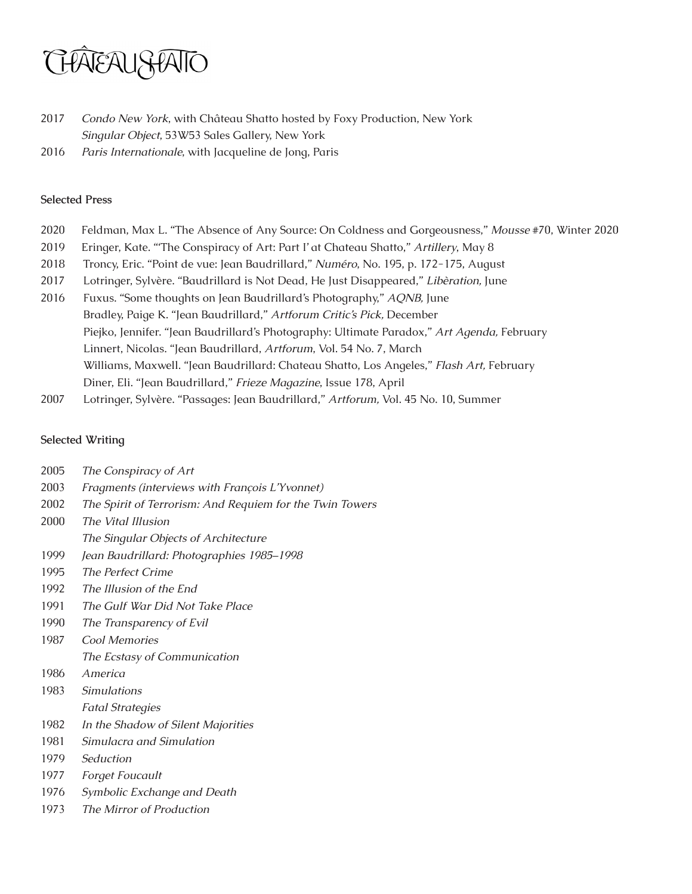

- 2017 *Condo New York*, with Château Shatto hosted by Foxy Production, New York *Singular Object*, 53W53 Sales Gallery, New York
- 2016 *Paris Internationale*, with Jacqueline de Jong, Paris

## **Selected Press**

- 2020 Feldman, Max L. "The Absence of Any Source: On Coldness and Gorgeousness," *Mousse* #70, Winter 2020
- 2019 Eringer, Kate. "'The Conspiracy of Art: Part I' at Chateau Shatto," *Artillery*, May 8
- 2018 Troncy, Eric. "Point de vue: Jean Baudrillard," *Numéro*, No. 195, p. 172-175, August
- 2017 Lotringer, Sylvère. "Baudrillard is Not Dead, He Just Disappeared," *Libèration,* June
- 2016 Fuxus. "Some thoughts on Jean Baudrillard's Photography," *AQNB,* June Bradley, Paige K. "Jean Baudrillard," *Artforum Critic's Pick,* December Piejko, Jennifer. "Jean Baudrillard's Photography: Ultimate Paradox," *Art Agenda,* February Linnert, Nicolas. "Jean Baudrillard, *Artforum*, Vol. 54 No. 7, March Williams, Maxwell. "Jean Baudrillard: Chateau Shatto, Los Angeles," *Flash Art,* February Diner, Eli. "Jean Baudrillard," *Frieze Magazine*, Issue 178, April
- 2007 Lotringer, Sylvère. "Passages: Jean Baudrillard," *Artforum,* Vol. 45 No. 10, Summer

## **Selected Writing**

- 2005 *The Conspiracy of Art*
- 2003 *Fragments (interviews with François L'Yvonnet)*
- 2002 *The Spirit of Terrorism: And Requiem for the Twin Towers*
- 2000 *The Vital Illusion*
- *The Singular Objects of Architecture*
- 1999 *Jean Baudrillard: Photographies 1985–1998*
- 1995 *The Perfect Crime*
- 1992 *The Illusion of the End*
- 1991 *The Gulf War Did Not Take Place*
- 1990 *The Transparency of Evil*
- 1987 *Cool Memories The Ecstasy of Communication*
- 1986 *America*
- 1983 *Simulations Fatal Strategies*
- 1982 *In the Shadow of Silent Majorities*
- 1981 *Simulacra and Simulation*
- 1979 *Seduction*
- 1977 *Forget Foucault*
- 1976 *Symbolic Exchange and Death*
- 1973 *The Mirror of Production*